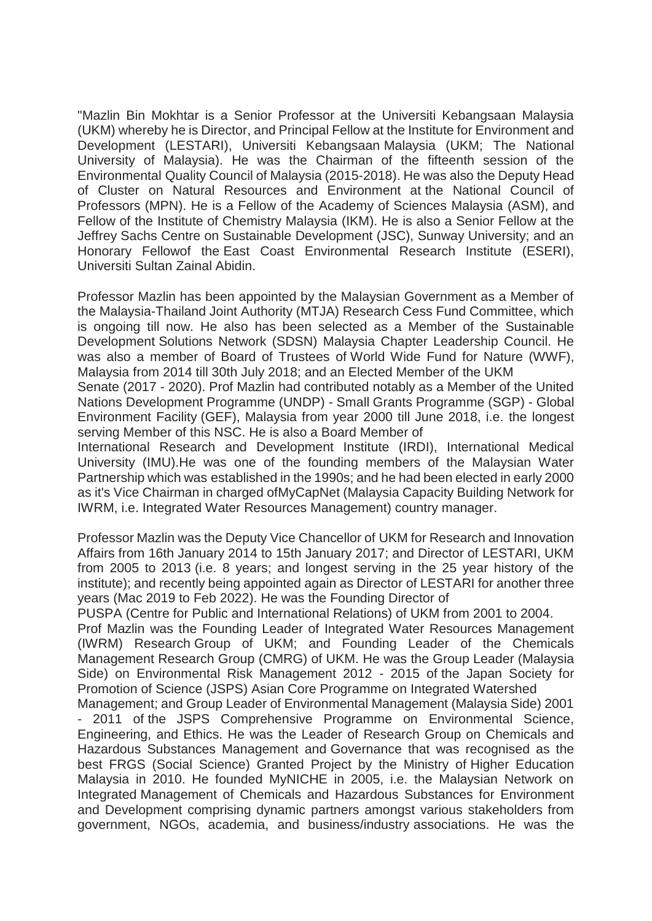"Mazlin Bin Mokhtar is a Senior Professor at the Universiti Kebangsaan Malaysia (UKM) whereby he is Director, and Principal Fellow at the Institute for Environment and Development (LESTARI), Universiti Kebangsaan Malaysia (UKM; The National University of Malaysia). He was the Chairman of the fifteenth session of the Environmental Quality Council of Malaysia (2015-2018). He was also the Deputy Head of Cluster on Natural Resources and Environment at the National Council of Professors (MPN). He is a Fellow of the Academy of Sciences Malaysia (ASM), and Fellow of the Institute of Chemistry Malaysia (IKM). He is also a Senior Fellow at the Jeffrey Sachs Centre on Sustainable Development (JSC), Sunway University; and an Honorary Fellowof the East Coast Environmental Research Institute (ESERI), Universiti Sultan Zainal Abidin.

Professor Mazlin has been appointed by the Malaysian Government as a Member of the Malaysia-Thailand Joint Authority (MTJA) Research Cess Fund Committee, which is ongoing till now. He also has been selected as a Member of the Sustainable Development Solutions Network (SDSN) Malaysia Chapter Leadership Council. He was also a member of Board of Trustees of World Wide Fund for Nature (WWF), Malaysia from 2014 till 30th July 2018; and an Elected Member of the UKM

Senate (2017 - 2020). Prof Mazlin had contributed notably as a Member of the United Nations Development Programme (UNDP) - Small Grants Programme (SGP) - Global Environment Facility (GEF), Malaysia from year 2000 till June 2018, i.e. the longest serving Member of this NSC. He is also a Board Member of

International Research and Development Institute (IRDI), International Medical University (IMU).He was one of the founding members of the Malaysian Water Partnership which was established in the 1990s; and he had been elected in early 2000 as it's Vice Chairman in charged ofMyCapNet (Malaysia Capacity Building Network for IWRM, i.e. Integrated Water Resources Management) country manager.

Professor Mazlin was the Deputy Vice Chancellor of UKM for Research and Innovation Affairs from 16th January 2014 to 15th January 2017; and Director of LESTARI, UKM from 2005 to 2013 (i.e. 8 years; and longest serving in the 25 year history of the institute); and recently being appointed again as Director of LESTARI for another three years (Mac 2019 to Feb 2022). He was the Founding Director of

PUSPA (Centre for Public and International Relations) of UKM from 2001 to 2004.

Prof Mazlin was the Founding Leader of Integrated Water Resources Management (IWRM) Research Group of UKM; and Founding Leader of the Chemicals Management Research Group (CMRG) of UKM. He was the Group Leader (Malaysia Side) on Environmental Risk Management 2012 - 2015 of the Japan Society for Promotion of Science (JSPS) Asian Core Programme on Integrated Watershed

Management; and Group Leader of Environmental Management (Malaysia Side) 2001 2011 of the JSPS Comprehensive Programme on Environmental Science, Engineering, and Ethics. He was the Leader of Research Group on Chemicals and Hazardous Substances Management and Governance that was recognised as the best FRGS (Social Science) Granted Project by the Ministry of Higher Education Malaysia in 2010. He founded MyNICHE in 2005, i.e. the Malaysian Network on Integrated Management of Chemicals and Hazardous Substances for Environment and Development comprising dynamic partners amongst various stakeholders from government, NGOs, academia, and business/industry associations. He was the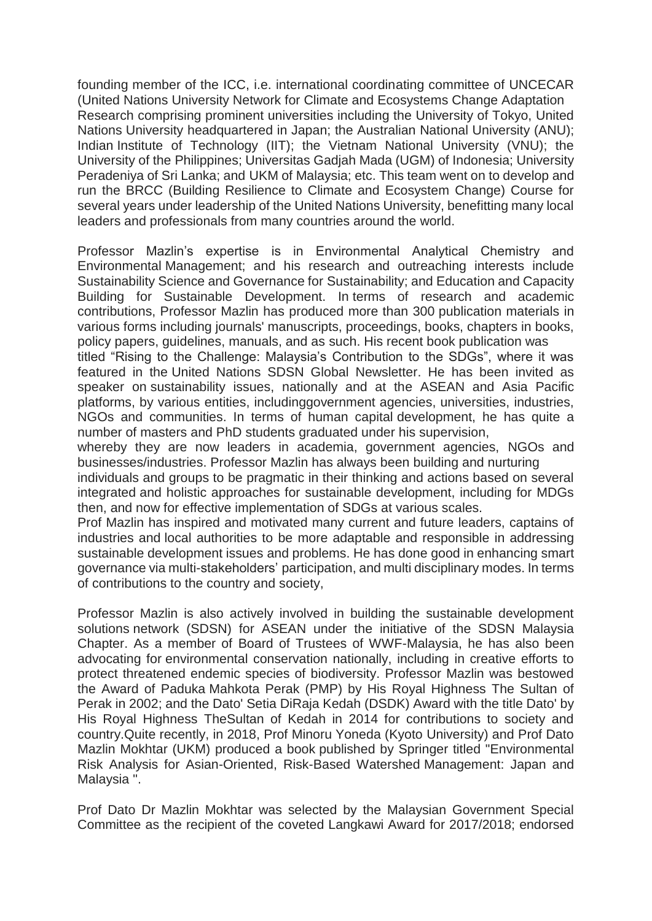founding member of the ICC, i.e. international coordinating committee of UNCECAR (United Nations University Network for Climate and Ecosystems Change Adaptation Research comprising prominent universities including the University of Tokyo, United Nations University headquartered in Japan; the Australian National University (ANU); Indian Institute of Technology (IIT); the Vietnam National University (VNU); the University of the Philippines; Universitas Gadjah Mada (UGM) of Indonesia; University Peradeniya of Sri Lanka; and UKM of Malaysia; etc. This team went on to develop and run the BRCC (Building Resilience to Climate and Ecosystem Change) Course for several years under leadership of the United Nations University, benefitting many local leaders and professionals from many countries around the world.

Professor Mazlin's expertise is in Environmental Analytical Chemistry and Environmental Management; and his research and outreaching interests include Sustainability Science and Governance for Sustainability; and Education and Capacity Building for Sustainable Development. In terms of research and academic contributions, Professor Mazlin has produced more than 300 publication materials in various forms including journals' manuscripts, proceedings, books, chapters in books, policy papers, guidelines, manuals, and as such. His recent book publication was

titled "Rising to the Challenge: Malaysia's Contribution to the SDGs", where it was featured in the United Nations SDSN Global Newsletter. He has been invited as speaker on sustainability issues, nationally and at the ASEAN and Asia Pacific platforms, by various entities, includinggovernment agencies, universities, industries, NGOs and communities. In terms of human capital development, he has quite a number of masters and PhD students graduated under his supervision,

whereby they are now leaders in academia, government agencies, NGOs and businesses/industries. Professor Mazlin has always been building and nurturing

individuals and groups to be pragmatic in their thinking and actions based on several integrated and holistic approaches for sustainable development, including for MDGs then, and now for effective implementation of SDGs at various scales.

Prof Mazlin has inspired and motivated many current and future leaders, captains of industries and local authorities to be more adaptable and responsible in addressing sustainable development issues and problems. He has done good in enhancing smart governance via multi-stakeholders' participation, and multi disciplinary modes. In terms of contributions to the country and society,

Professor Mazlin is also actively involved in building the sustainable development solutions network (SDSN) for ASEAN under the initiative of the SDSN Malaysia Chapter. As a member of Board of Trustees of WWF-Malaysia, he has also been advocating for environmental conservation nationally, including in creative efforts to protect threatened endemic species of biodiversity. Professor Mazlin was bestowed the Award of Paduka Mahkota Perak (PMP) by His Royal Highness The Sultan of Perak in 2002; and the Dato' Setia DiRaja Kedah (DSDK) Award with the title Dato' by His Royal Highness TheSultan of Kedah in 2014 for contributions to society and country.Quite recently, in 2018, Prof Minoru Yoneda (Kyoto University) and Prof Dato Mazlin Mokhtar (UKM) produced a book published by Springer titled "Environmental Risk Analysis for Asian-Oriented, Risk-Based Watershed Management: Japan and Malaysia ".

Prof Dato Dr Mazlin Mokhtar was selected by the Malaysian Government Special Committee as the recipient of the coveted Langkawi Award for 2017/2018; endorsed